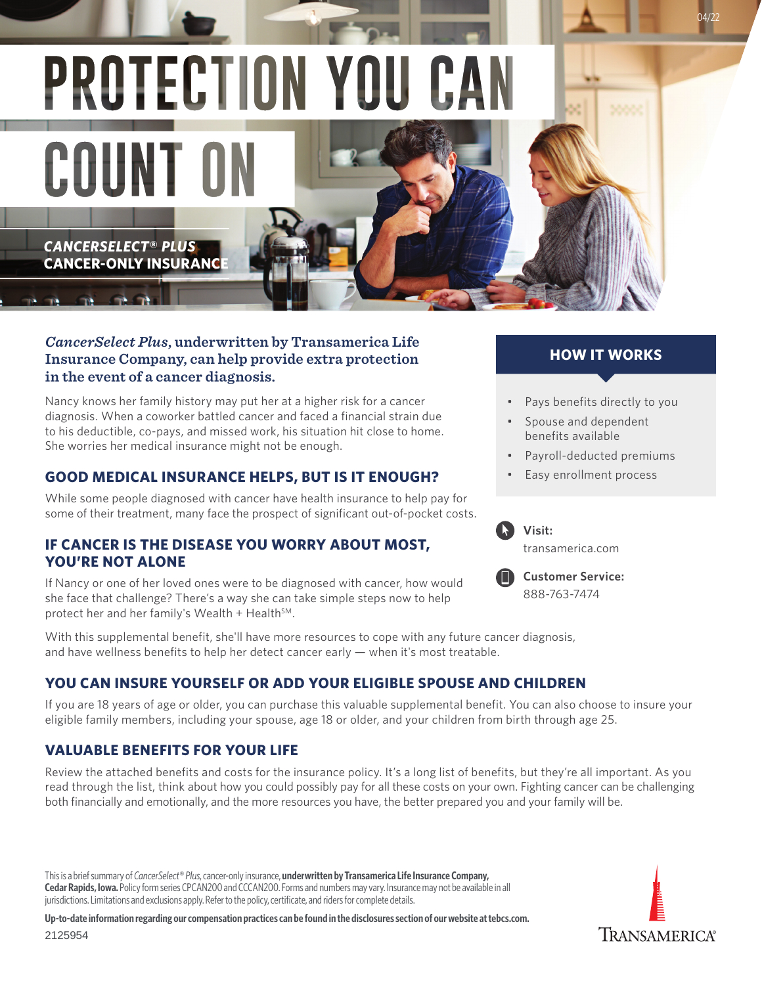PROTECTION YOU CA COUNT O *CANCERSELECT***®** *PLUS* **CANCER-ONLY INSURANCE** 

#### *CancerSelect Plus***, underwritten by Transamerica Life Insurance Company, can help provide extra protection in the event of a cancer diagnosis.**

Nancy knows her family history may put her at a higher risk for a cancer diagnosis. When a coworker battled cancer and faced a financial strain due to his deductible, co-pays, and missed work, his situation hit close to home. She worries her medical insurance might not be enough.

## **GOOD MEDICAL INSURANCE HELPS, BUT IS IT ENOUGH?**

While some people diagnosed with cancer have health insurance to help pay for some of their treatment, many face the prospect of significant out-of-pocket costs.

### **IF CANCER IS THE DISEASE YOU WORRY ABOUT MOST, YOU'RE NOT ALONE**

If Nancy or one of her loved ones were to be diagnosed with cancer, how would she face that challenge? There's a way she can take simple steps now to help protect her and her family's Wealth + Health $^{5M}$ .

With this supplemental benefit, she'll have more resources to cope with any future cancer diagnosis, and have wellness benefits to help her detect cancer early — when it's most treatable.

## **YOU CAN INSURE YOURSELF OR ADD YOUR ELIGIBLE SPOUSE AND CHILDREN**

If you are 18 years of age or older, you can purchase this valuable supplemental benefit. You can also choose to insure your eligible family members, including your spouse, age 18 or older, and your children from birth through age 25.

### **VALUABLE BENEFITS FOR YOUR LIFE**

Review the attached benefits and costs for the insurance policy. It's a long list of benefits, but they're all important. As you read through the list, think about how you could possibly pay for all these costs on your own. Fighting cancer can be challenging both financially and emotionally, and the more resources you have, the better prepared you and your family will be.

This is a brief summary of *CancerSelect® Plus*, cancer-only insurance, **underwritten by Transamerica Life Insurance Company, Cedar Rapids, Iowa.** Policy form series CPCAN200 and CCCAN200. Forms and numbers may vary. Insurance may not be available in all jurisdictions. Limitations and exclusions apply. Refer to the policy, certificate, and riders for complete details.

**Up-to-date information regarding our compensation practices can be found in the disclosures section of our website at [tebcs.com.](http://www.tebcs.com)** 2125954

## **HOW IT WORKS**

04/22

- Pays benefits directly to you
- Spouse and dependent benefits available
- Payroll-deducted premiums
- Easy enrollment process



# **Visit:**

t[ransamerica.com](http://Transamericabenefits.com)



**Customer Service:** 888-763-7474

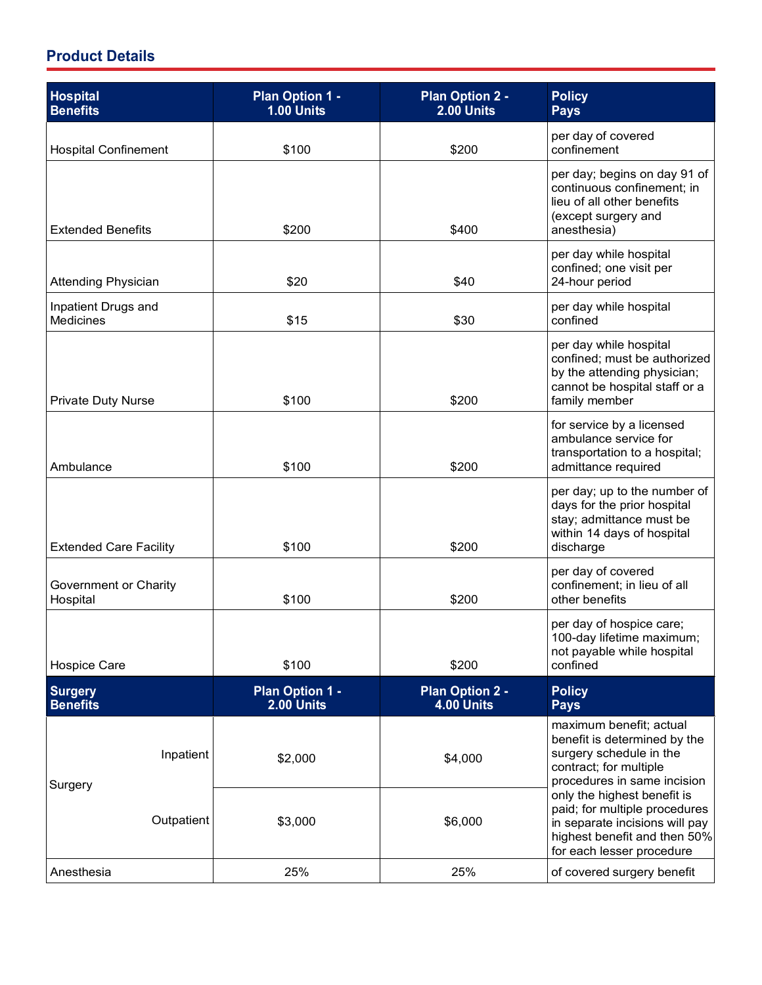| <b>Hospital</b><br><b>Benefits</b> | Plan Option 1 -<br>1.00 Units        | <b>Plan Option 2 -</b><br>$2.00$ Units | <b>Policy</b><br><b>Pays</b>                                                                                                                                |
|------------------------------------|--------------------------------------|----------------------------------------|-------------------------------------------------------------------------------------------------------------------------------------------------------------|
| <b>Hospital Confinement</b>        | \$100                                | \$200                                  | per day of covered<br>confinement                                                                                                                           |
| <b>Extended Benefits</b>           | \$200                                | \$400                                  | per day; begins on day 91 of<br>continuous confinement; in<br>lieu of all other benefits<br>(except surgery and<br>anesthesia)                              |
| <b>Attending Physician</b>         | \$20                                 | \$40                                   | per day while hospital<br>confined; one visit per<br>24-hour period                                                                                         |
| Inpatient Drugs and<br>Medicines   | \$15                                 | \$30                                   | per day while hospital<br>confined                                                                                                                          |
| <b>Private Duty Nurse</b>          | \$100                                | \$200                                  | per day while hospital<br>confined; must be authorized<br>by the attending physician;<br>cannot be hospital staff or a<br>family member                     |
| Ambulance                          | \$100                                | \$200                                  | for service by a licensed<br>ambulance service for<br>transportation to a hospital;<br>admittance required                                                  |
| <b>Extended Care Facility</b>      | \$100                                | \$200                                  | per day; up to the number of<br>days for the prior hospital<br>stay; admittance must be<br>within 14 days of hospital<br>discharge                          |
| Government or Charity<br>Hospital  | \$100                                | \$200                                  | per day of covered<br>confinement; in lieu of all<br>other benefits                                                                                         |
| <b>Hospice Care</b>                | \$100                                | \$200                                  | per day of hospice care;<br>100-day lifetime maximum;<br>not payable while hospital<br>confined                                                             |
| <b>Surgery</b><br><b>Benefits</b>  | <b>Plan Option 1 -</b><br>2.00 Units | <b>Plan Option 2 -</b><br>4.00 Units   | <b>Policy</b><br><b>Pays</b>                                                                                                                                |
| Inpatient<br>Surgery               | \$2,000                              | \$4,000                                | maximum benefit; actual<br>benefit is determined by the<br>surgery schedule in the<br>contract; for multiple<br>procedures in same incision                 |
| Outpatient                         | \$3,000                              | \$6,000                                | only the highest benefit is<br>paid; for multiple procedures<br>in separate incisions will pay<br>highest benefit and then 50%<br>for each lesser procedure |
| Anesthesia                         | 25%                                  | 25%                                    | of covered surgery benefit                                                                                                                                  |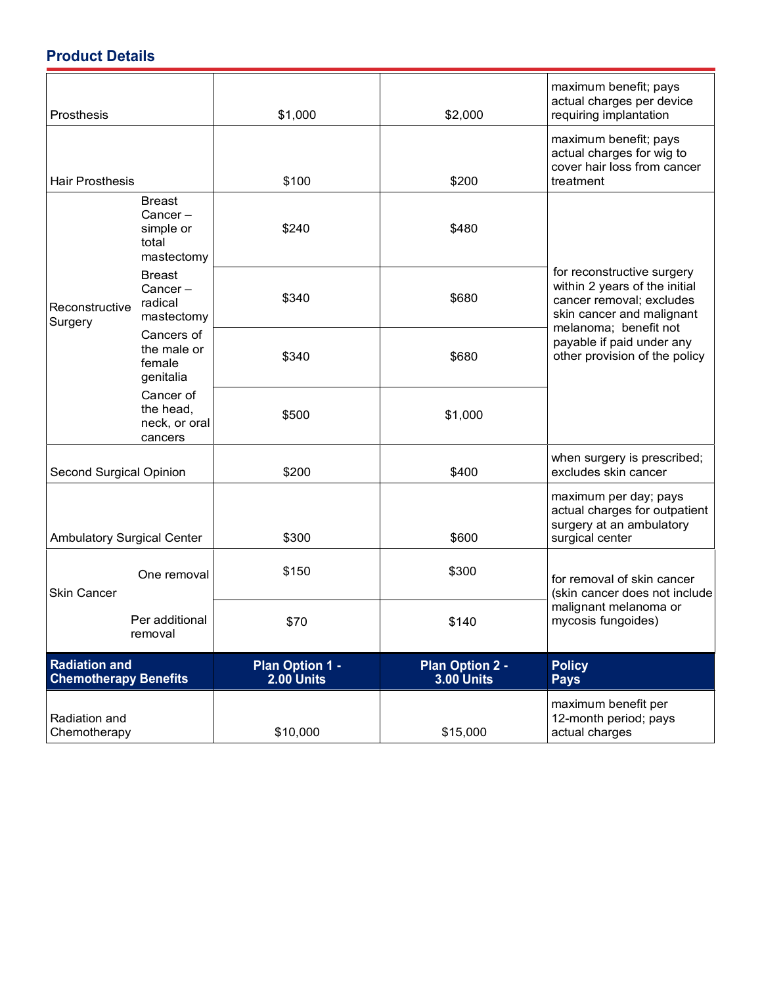| Prosthesis                                           |                                                                 | \$1,000                         | \$2,000                              | maximum benefit; pays<br>actual charges per device<br>requiring implantation                                                                                                                                |
|------------------------------------------------------|-----------------------------------------------------------------|---------------------------------|--------------------------------------|-------------------------------------------------------------------------------------------------------------------------------------------------------------------------------------------------------------|
| <b>Hair Prosthesis</b>                               |                                                                 | \$100                           | \$200                                | maximum benefit; pays<br>actual charges for wig to<br>cover hair loss from cancer<br>treatment                                                                                                              |
| Reconstructive<br>Surgery                            | <b>Breast</b><br>$Cancer -$<br>simple or<br>total<br>mastectomy | \$240                           | \$480                                |                                                                                                                                                                                                             |
|                                                      | <b>Breast</b><br>$Cancer -$<br>radical<br>mastectomy            | \$340                           | \$680                                | for reconstructive surgery<br>within 2 years of the initial<br>cancer removal; excludes<br>skin cancer and malignant<br>melanoma; benefit not<br>payable if paid under any<br>other provision of the policy |
|                                                      | Cancers of<br>the male or<br>female<br>genitalia                | \$340                           | \$680                                |                                                                                                                                                                                                             |
|                                                      | Cancer of<br>the head,<br>neck, or oral<br>cancers              | \$500                           | \$1,000                              |                                                                                                                                                                                                             |
| Second Surgical Opinion                              |                                                                 | \$200                           | \$400                                | when surgery is prescribed;<br>excludes skin cancer                                                                                                                                                         |
| <b>Ambulatory Surgical Center</b>                    |                                                                 | \$300                           | \$600                                | maximum per day; pays<br>actual charges for outpatient<br>surgery at an ambulatory<br>surgical center                                                                                                       |
| <b>Skin Cancer</b>                                   | One removal                                                     | \$150                           | \$300                                | for removal of skin cancer<br>(skin cancer does not include<br>malignant melanoma or<br>mycosis fungoides)                                                                                                  |
|                                                      | Per additional<br>removal                                       | \$70                            | \$140                                |                                                                                                                                                                                                             |
| <b>Radiation and</b><br><b>Chemotherapy Benefits</b> |                                                                 | Plan Option 1 -<br>$2.00$ Units | <b>Plan Option 2 -</b><br>3.00 Units | <b>Policy</b><br><b>Pays</b>                                                                                                                                                                                |
| Radiation and<br>Chemotherapy                        |                                                                 | \$10,000                        | \$15,000                             | maximum benefit per<br>12-month period; pays<br>actual charges                                                                                                                                              |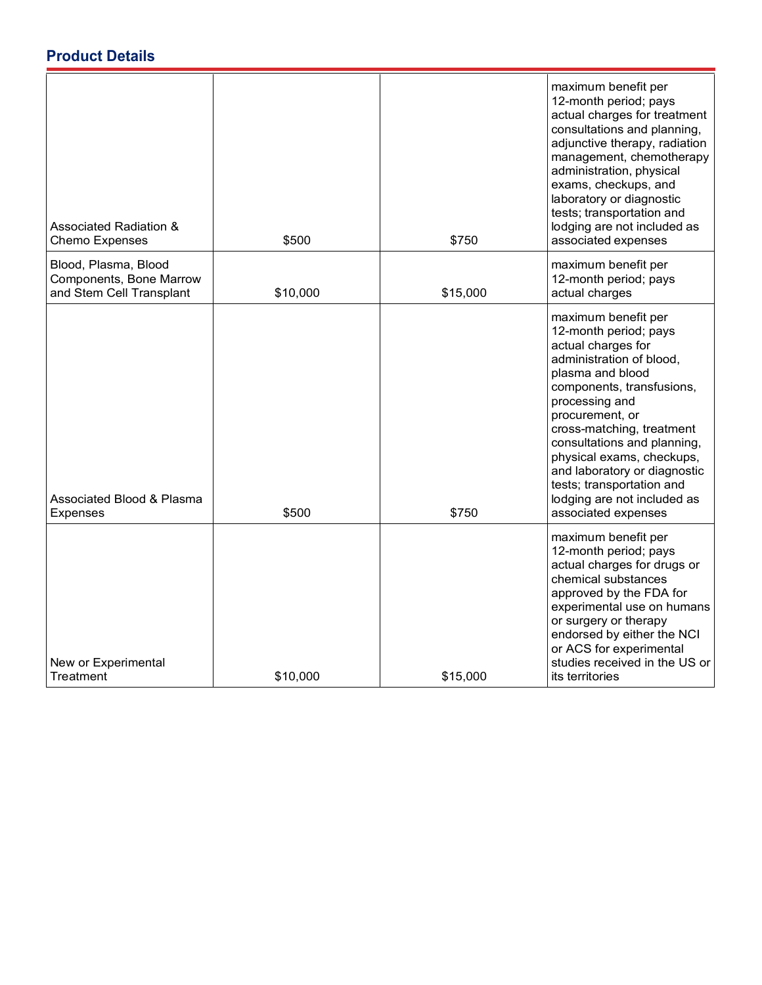| Associated Radiation &<br>Chemo Expenses                                    | \$500    | \$750    | maximum benefit per<br>12-month period; pays<br>actual charges for treatment<br>consultations and planning,<br>adjunctive therapy, radiation<br>management, chemotherapy<br>administration, physical<br>exams, checkups, and<br>laboratory or diagnostic<br>tests; transportation and<br>lodging are not included as<br>associated expenses                                                      |
|-----------------------------------------------------------------------------|----------|----------|--------------------------------------------------------------------------------------------------------------------------------------------------------------------------------------------------------------------------------------------------------------------------------------------------------------------------------------------------------------------------------------------------|
| Blood, Plasma, Blood<br>Components, Bone Marrow<br>and Stem Cell Transplant | \$10,000 | \$15,000 | maximum benefit per<br>12-month period; pays<br>actual charges                                                                                                                                                                                                                                                                                                                                   |
| Associated Blood & Plasma<br><b>Expenses</b>                                | \$500    | \$750    | maximum benefit per<br>12-month period; pays<br>actual charges for<br>administration of blood,<br>plasma and blood<br>components, transfusions,<br>processing and<br>procurement, or<br>cross-matching, treatment<br>consultations and planning,<br>physical exams, checkups,<br>and laboratory or diagnostic<br>tests; transportation and<br>lodging are not included as<br>associated expenses |
| New or Experimental<br>Treatment                                            | \$10,000 | \$15,000 | maximum benefit per<br>12-month period; pays<br>actual charges for drugs or<br>chemical substances<br>approved by the FDA for<br>experimental use on humans<br>or surgery or therapy<br>endorsed by either the NCI<br>or ACS for experimental<br>studies received in the US or<br>its territories                                                                                                |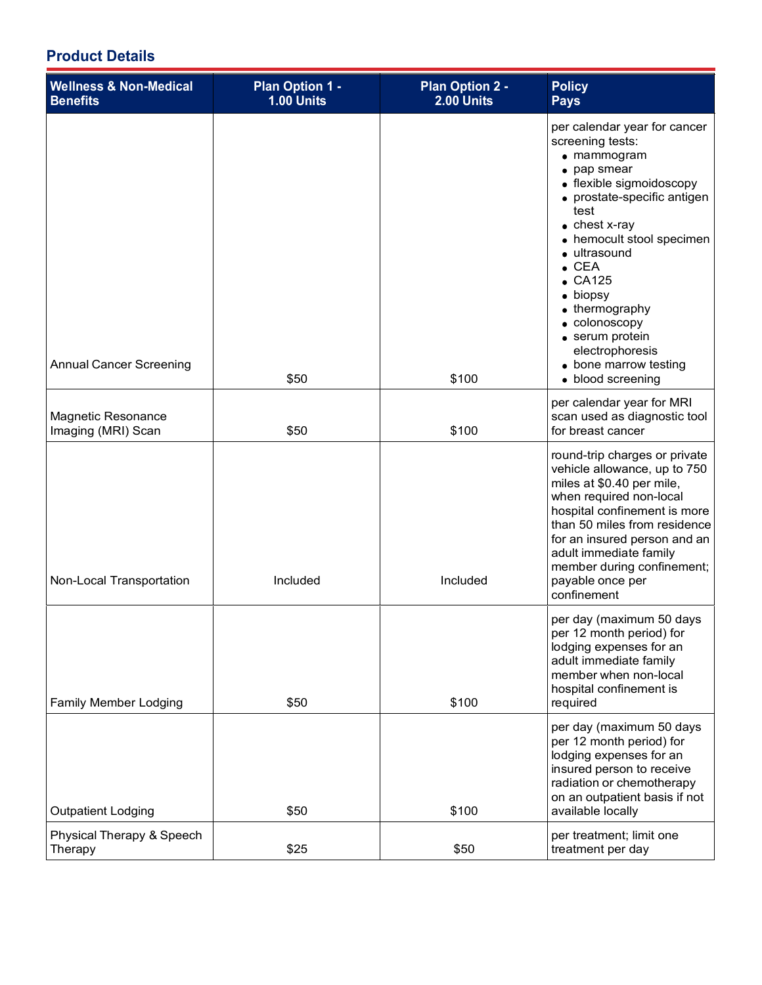| <b>Wellness &amp; Non-Medical</b><br><b>Benefits</b> | Plan Option 1 -<br>1.00 Units | <b>Plan Option 2 -</b><br>2.00 Units | <b>Policy</b><br><b>Pays</b>                                                                                                                                                                                                                                                                                                                                                                                   |
|------------------------------------------------------|-------------------------------|--------------------------------------|----------------------------------------------------------------------------------------------------------------------------------------------------------------------------------------------------------------------------------------------------------------------------------------------------------------------------------------------------------------------------------------------------------------|
| <b>Annual Cancer Screening</b>                       | \$50                          | \$100                                | per calendar year for cancer<br>screening tests:<br>$\bullet$ mammogram<br>• pap smear<br>• flexible sigmoidoscopy<br>• prostate-specific antigen<br>test<br>$\bullet$ chest x-ray<br>• hemocult stool specimen<br>· ultrasound<br>$\bullet$ CEA<br>$\bullet$ CA125<br>• biopsy<br>• thermography<br>• colonoscopy<br>• serum protein<br>electrophoresis<br>$\bullet$ bone marrow testing<br>· blood screening |
| <b>Magnetic Resonance</b><br>Imaging (MRI) Scan      | \$50                          | \$100                                | per calendar year for MRI<br>scan used as diagnostic tool<br>for breast cancer                                                                                                                                                                                                                                                                                                                                 |
| Non-Local Transportation                             | Included                      | Included                             | round-trip charges or private<br>vehicle allowance, up to 750<br>miles at \$0.40 per mile,<br>when required non-local<br>hospital confinement is more<br>than 50 miles from residence<br>for an insured person and an<br>adult immediate family<br>member during confinement;<br>payable once per<br>confinement                                                                                               |
| Family Member Lodging                                | \$50                          | \$100                                | per day (maximum 50 days<br>per 12 month period) for<br>lodging expenses for an<br>adult immediate family<br>member when non-local<br>hospital confinement is<br>required                                                                                                                                                                                                                                      |
| <b>Outpatient Lodging</b>                            | \$50                          | \$100                                | per day (maximum 50 days<br>per 12 month period) for<br>lodging expenses for an<br>insured person to receive<br>radiation or chemotherapy<br>on an outpatient basis if not<br>available locally                                                                                                                                                                                                                |
| Physical Therapy & Speech<br>Therapy                 | \$25                          | \$50                                 | per treatment; limit one<br>treatment per day                                                                                                                                                                                                                                                                                                                                                                  |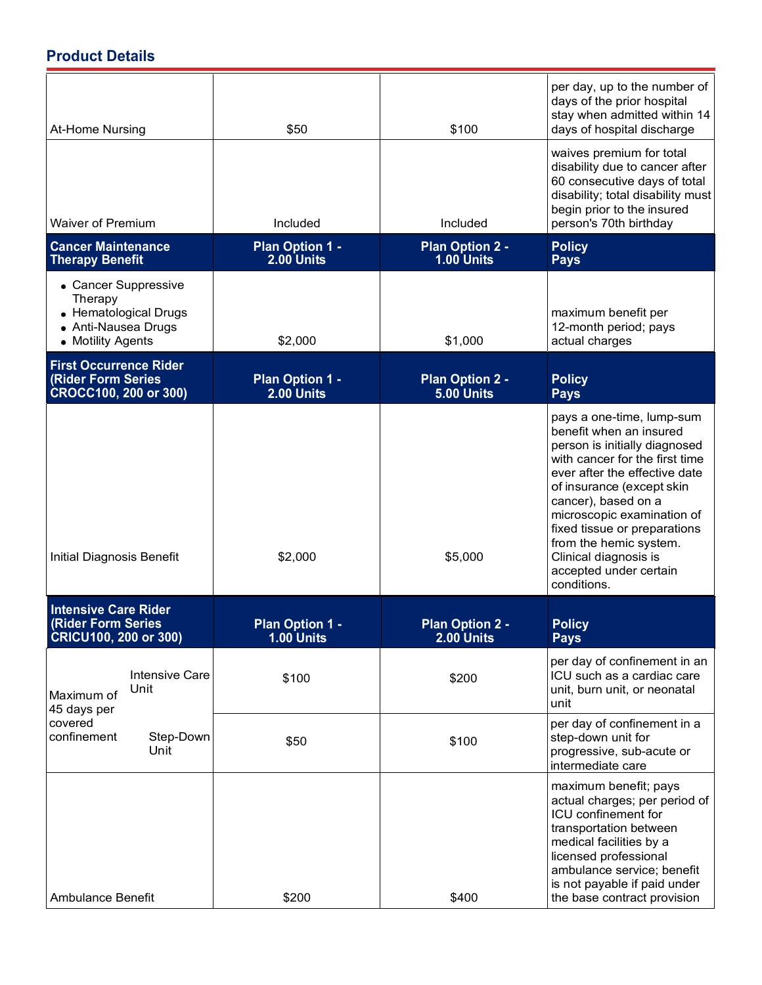| At-Home Nursing                                                                                      |                               | \$50                                 | \$100                                | per day, up to the number of<br>days of the prior hospital<br>stay when admitted within 14<br>days of hospital discharge                                                                                                                                                                                                                                               |
|------------------------------------------------------------------------------------------------------|-------------------------------|--------------------------------------|--------------------------------------|------------------------------------------------------------------------------------------------------------------------------------------------------------------------------------------------------------------------------------------------------------------------------------------------------------------------------------------------------------------------|
| <b>Waiver of Premium</b>                                                                             |                               | Included                             | Included                             | waives premium for total<br>disability due to cancer after<br>60 consecutive days of total<br>disability; total disability must<br>begin prior to the insured<br>person's 70th birthday                                                                                                                                                                                |
| <b>Cancer Maintenance</b><br><b>Therapy Benefit</b>                                                  |                               | <b>Plan Option 1 -</b><br>2.00 Units | <b>Plan Option 2 -</b><br>1.00 Units | <b>Policy</b><br><b>Pays</b>                                                                                                                                                                                                                                                                                                                                           |
| • Cancer Suppressive<br>Therapy<br>• Hematological Drugs<br>• Anti-Nausea Drugs<br>• Motility Agents |                               | \$2,000                              | \$1,000                              | maximum benefit per<br>12-month period; pays<br>actual charges                                                                                                                                                                                                                                                                                                         |
| <b>First Occurrence Rider</b><br><b>(Rider Form Series)</b><br>CROCC100, 200 or 300)                 |                               | Plan Option 1 -<br>2.00 Units        | <b>Plan Option 2 -</b><br>5.00 Units | <b>Policy</b><br><b>Pays</b>                                                                                                                                                                                                                                                                                                                                           |
| Initial Diagnosis Benefit                                                                            |                               | \$2,000                              | \$5,000                              | pays a one-time, lump-sum<br>benefit when an insured<br>person is initially diagnosed<br>with cancer for the first time<br>ever after the effective date<br>of insurance (except skin<br>cancer), based on a<br>microscopic examination of<br>fixed tissue or preparations<br>from the hemic system.<br>Clinical diagnosis is<br>accepted under certain<br>conditions. |
| <b>Intensive Care Rider</b><br><b>(Rider Form Series</b><br><b>CRICU100, 200 or 300)</b>             |                               | Plan Option 1 -<br>1.00 Units        | <b>Plan Option 2 -</b><br>2.00 Units | <b>Policy</b><br><b>Pays</b>                                                                                                                                                                                                                                                                                                                                           |
| Maximum of<br>45 days per<br>covered<br>confinement                                                  | <b>Intensive Care</b><br>Unit | \$100                                | \$200                                | per day of confinement in an<br>ICU such as a cardiac care<br>unit, burn unit, or neonatal<br>unit                                                                                                                                                                                                                                                                     |
|                                                                                                      | Step-Down<br>Unit             | \$50                                 | \$100                                | per day of confinement in a<br>step-down unit for<br>progressive, sub-acute or<br>intermediate care                                                                                                                                                                                                                                                                    |
| Ambulance Benefit                                                                                    |                               | \$200                                | \$400                                | maximum benefit; pays<br>actual charges; per period of<br>ICU confinement for<br>transportation between<br>medical facilities by a<br>licensed professional<br>ambulance service; benefit<br>is not payable if paid under<br>the base contract provision                                                                                                               |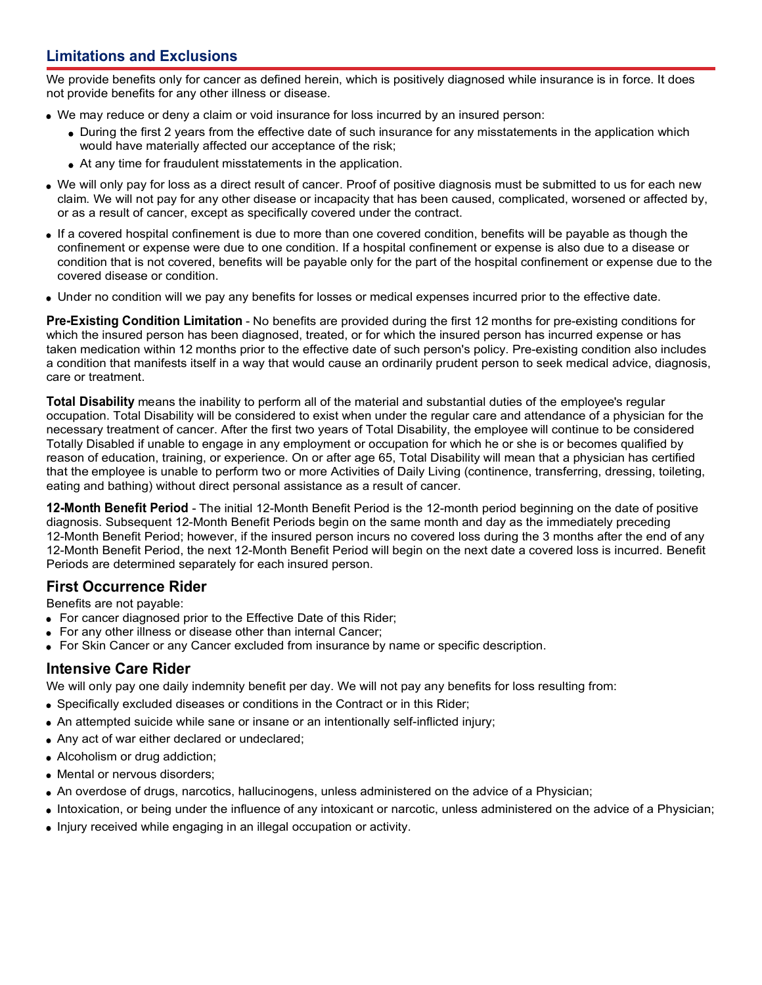### **Limitations and Exclusions**

We provide benefits only for cancer as defined herein, which is positively diagnosed while insurance is in force. It does not provide benefits for any other illness or disease.

- We may reduce or deny a claim or void insurance for loss incurred by an insured person:
	- During the first 2 years from the effective date of such insurance for any misstatements in the application which would have materially affected our acceptance of the risk;
	- At any time for fraudulent misstatements in the application.
- We will only pay for loss as a direct result of cancer. Proof of positive diagnosis must be submitted to us for each new claim. We will not pay for any other disease or incapacity that has been caused, complicated, worsened or affected by, or as a result of cancer, except as specifically covered under the contract.
- If a covered hospital confinement is due to more than one covered condition, benefits will be payable as though the confinement or expense were due to one condition. If a hospital confinement or expense is also due to a disease or condition that is not covered, benefits will be payable only for the part of the hospital confinement or expense due to the covered disease or condition.
- Under no condition will we pay any benefits for losses or medical expenses incurred prior to the effective date.

**Pre-Existing Condition Limitation** - No benefits are provided during the first 12 months for pre-existing conditions for which the insured person has been diagnosed, treated, or for which the insured person has incurred expense or has taken medication within 12 months prior to the effective date of such person's policy. Pre-existing condition also includes a condition that manifests itself in a way that would cause an ordinarily prudent person to seek medical advice, diagnosis, care or treatment.

**Total Disability** means the inability to perform all of the material and substantial duties of the employee's regular occupation. Total Disability will be considered to exist when under the regular care and attendance of a physician for the necessary treatment of cancer. After the first two years of Total Disability, the employee will continue to be considered Totally Disabled if unable to engage in any employment or occupation for which he or she is or becomes qualified by reason of education, training, or experience. On or after age 65, Total Disability will mean that a physician has certified that the employee is unable to perform two or more Activities of Daily Living (continence, transferring, dressing, toileting, eating and bathing) without direct personal assistance as a result of cancer.

**12-Month Benefit Period** - The initial 12-Month Benefit Period is the 12-month period beginning on the date of positive diagnosis. Subsequent 12-Month Benefit Periods begin on the same month and day as the immediately preceding 12-Month Benefit Period; however, if the insured person incurs no covered loss during the 3 months after the end of any 12-Month Benefit Period, the next 12-Month Benefit Period will begin on the next date a covered loss is incurred. Benefit Periods are determined separately for each insured person.

#### **First Occurrence Rider**

Benefits are not payable:

- For cancer diagnosed prior to the Effective Date of this Rider;
- For any other illness or disease other than internal Cancer;
- For Skin Cancer or any Cancer excluded from insurance by name or specific description.

#### **Intensive Care Rider**

We will only pay one daily indemnity benefit per day. We will not pay any benefits for loss resulting from:

- Specifically excluded diseases or conditions in the Contract or in this Rider;
- An attempted suicide while sane or insane or an intentionally self-inflicted injury;
- Any act of war either declared or undeclared;
- Alcoholism or drug addiction;
- Mental or nervous disorders;
- An overdose of drugs, narcotics, hallucinogens, unless administered on the advice of a Physician;
- Intoxication, or being under the influence of any intoxicant or narcotic, unless administered on the advice of a Physician;
- Injury received while engaging in an illegal occupation or activity.